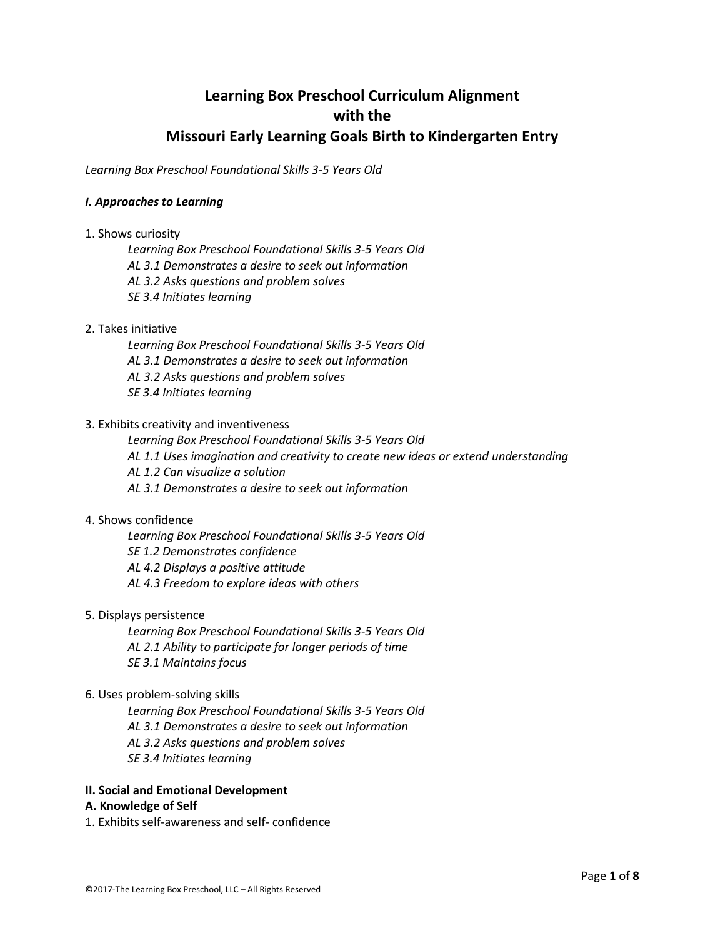# **Learning Box Preschool Curriculum Alignment with the Missouri Early Learning Goals Birth to Kindergarten Entry**

*Learning Box Preschool Foundational Skills 3-5 Years Old*

# *I. Approaches to Learning*

1. Shows curiosity

*Learning Box Preschool Foundational Skills 3-5 Years Old AL 3.1 Demonstrates a desire to seek out information AL 3.2 Asks questions and problem solves SE 3.4 Initiates learning*

# 2. Takes initiative

*Learning Box Preschool Foundational Skills 3-5 Years Old AL 3.1 Demonstrates a desire to seek out information AL 3.2 Asks questions and problem solves SE 3.4 Initiates learning*

# 3. Exhibits creativity and inventiveness

*Learning Box Preschool Foundational Skills 3-5 Years Old*

- *AL 1.1 Uses imagination and creativity to create new ideas or extend understanding*
- *AL 1.2 Can visualize a solution*
- *AL 3.1 Demonstrates a desire to seek out information*

#### 4. Shows confidence

*Learning Box Preschool Foundational Skills 3-5 Years Old SE 1.2 Demonstrates confidence AL 4.2 Displays a positive attitude AL 4.3 Freedom to explore ideas with others*

## 5. Displays persistence

*Learning Box Preschool Foundational Skills 3-5 Years Old AL 2.1 Ability to participate for longer periods of time SE 3.1 Maintains focus*

#### 6. Uses problem-solving skills

*Learning Box Preschool Foundational Skills 3-5 Years Old AL 3.1 Demonstrates a desire to seek out information AL 3.2 Asks questions and problem solves SE 3.4 Initiates learning*

# **II. Social and Emotional Development**

## **A. Knowledge of Self**

1. Exhibits self-awareness and self- confidence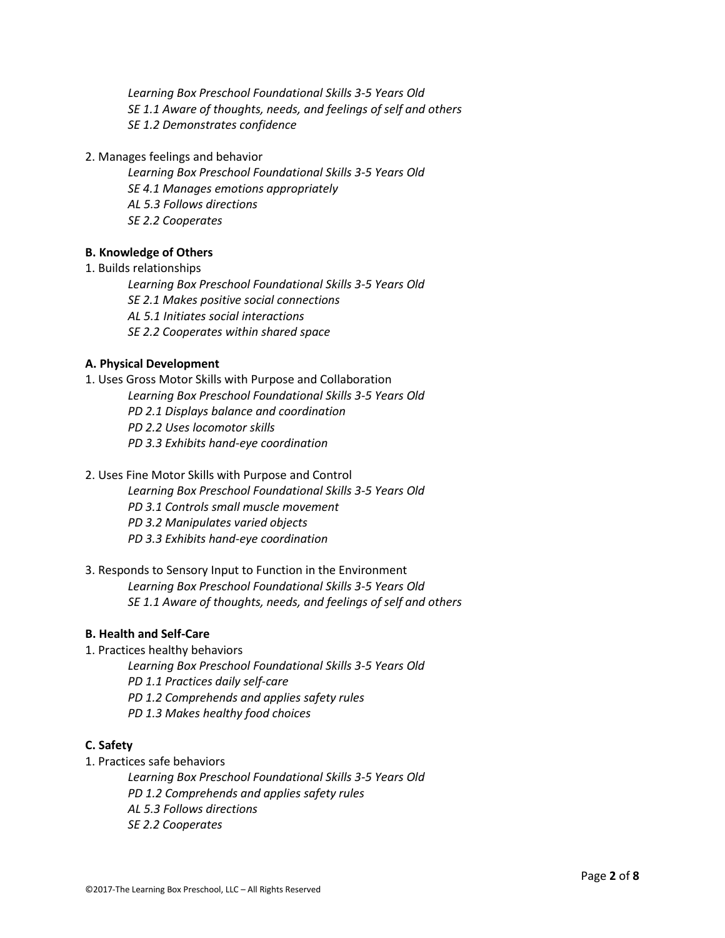*Learning Box Preschool Foundational Skills 3-5 Years Old SE 1.1 Aware of thoughts, needs, and feelings of self and others SE 1.2 Demonstrates confidence*

2. Manages feelings and behavior

*Learning Box Preschool Foundational Skills 3-5 Years Old SE 4.1 Manages emotions appropriately AL 5.3 Follows directions SE 2.2 Cooperates*

# **B. Knowledge of Others**

1. Builds relationships

*Learning Box Preschool Foundational Skills 3-5 Years Old SE 2.1 Makes positive social connections AL 5.1 Initiates social interactions SE 2.2 Cooperates within shared space*

# **A. Physical Development**

1. Uses Gross Motor Skills with Purpose and Collaboration *Learning Box Preschool Foundational Skills 3-5 Years Old PD 2.1 Displays balance and coordination PD 2.2 Uses locomotor skills PD 3.3 Exhibits hand-eye coordination*

- 2. Uses Fine Motor Skills with Purpose and Control *Learning Box Preschool Foundational Skills 3-5 Years Old PD 3.1 Controls small muscle movement PD 3.2 Manipulates varied objects PD 3.3 Exhibits hand-eye coordination*
- 3. Responds to Sensory Input to Function in the Environment *Learning Box Preschool Foundational Skills 3-5 Years Old SE 1.1 Aware of thoughts, needs, and feelings of self and others*

#### **B. Health and Self-Care**

- 1. Practices healthy behaviors
	- *Learning Box Preschool Foundational Skills 3-5 Years Old PD 1.1 Practices daily self-care PD 1.2 Comprehends and applies safety rules PD 1.3 Makes healthy food choices*

# **C. Safety**

1. Practices safe behaviors

*Learning Box Preschool Foundational Skills 3-5 Years Old PD 1.2 Comprehends and applies safety rules AL 5.3 Follows directions SE 2.2 Cooperates*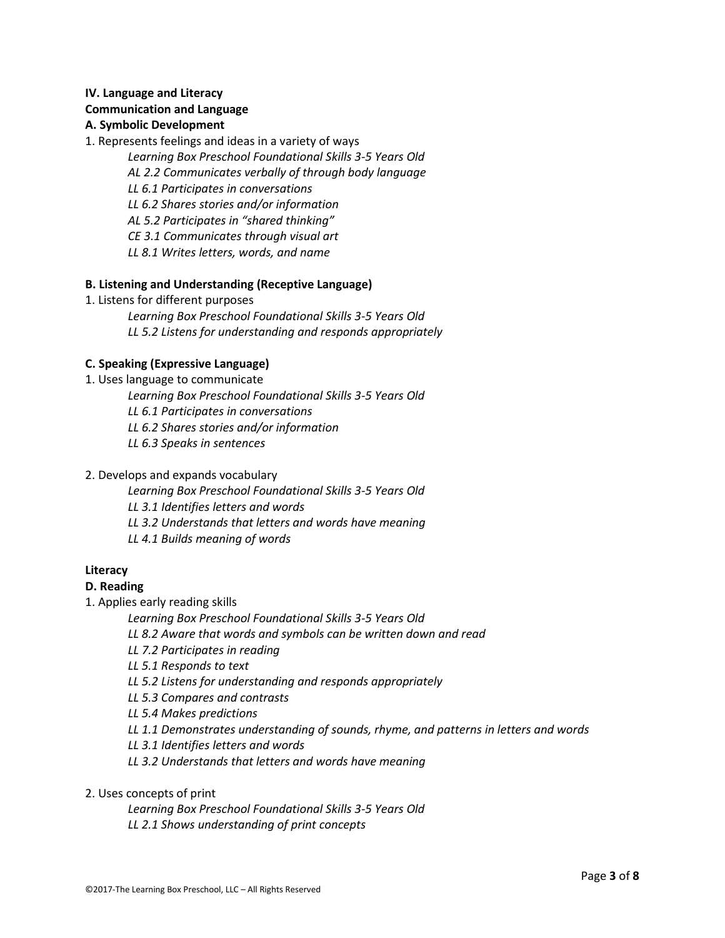# **IV. Language and Literacy Communication and Language**

# **A. Symbolic Development**

- 1. Represents feelings and ideas in a variety of ways
	- *Learning Box Preschool Foundational Skills 3-5 Years Old*
	- *AL 2.2 Communicates verbally of through body language*
	- *LL 6.1 Participates in conversations*
	- *LL 6.2 Shares stories and/or information*
	- *AL 5.2 Participates in "shared thinking"*
	- *CE 3.1 Communicates through visual art*
	- *LL 8.1 Writes letters, words, and name*

# **B. Listening and Understanding (Receptive Language)**

- 1. Listens for different purposes
	- *Learning Box Preschool Foundational Skills 3-5 Years Old LL 5.2 Listens for understanding and responds appropriately*

# **C. Speaking (Expressive Language)**

1. Uses language to communicate *Learning Box Preschool Foundational Skills 3-5 Years Old LL 6.1 Participates in conversations LL 6.2 Shares stories and/or information LL 6.3 Speaks in sentences*

# 2. Develops and expands vocabulary

*Learning Box Preschool Foundational Skills 3-5 Years Old*

- *LL 3.1 Identifies letters and words*
- *LL 3.2 Understands that letters and words have meaning*
- *LL 4.1 Builds meaning of words*

# **Literacy**

# **D. Reading**

- 1. Applies early reading skills
	- *Learning Box Preschool Foundational Skills 3-5 Years Old*
	- *LL 8.2 Aware that words and symbols can be written down and read*
	- *LL 7.2 Participates in reading*
	- *LL 5.1 Responds to text*
	- *LL 5.2 Listens for understanding and responds appropriately*
	- *LL 5.3 Compares and contrasts*
	- *LL 5.4 Makes predictions*
	- *LL 1.1 Demonstrates understanding of sounds, rhyme, and patterns in letters and words*
	- *LL 3.1 Identifies letters and words*
	- *LL 3.2 Understands that letters and words have meaning*

# 2. Uses concepts of print

*Learning Box Preschool Foundational Skills 3-5 Years Old LL 2.1 Shows understanding of print concepts*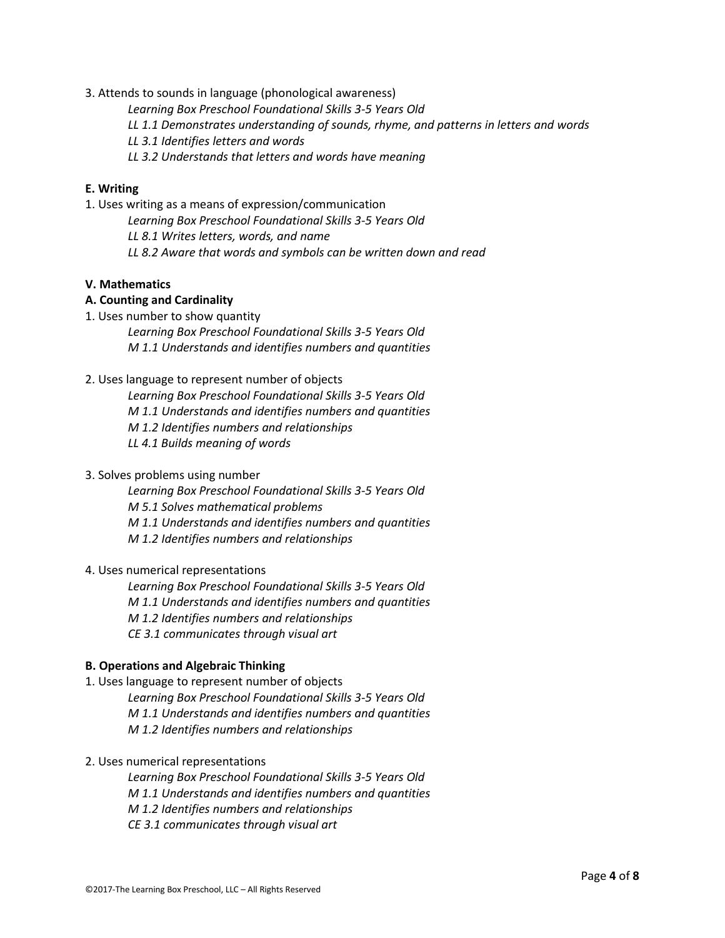- 3. Attends to sounds in language (phonological awareness)
	- *Learning Box Preschool Foundational Skills 3-5 Years Old*
	- *LL 1.1 Demonstrates understanding of sounds, rhyme, and patterns in letters and words*
	- *LL 3.1 Identifies letters and words*
	- *LL 3.2 Understands that letters and words have meaning*

## **E. Writing**

- 1. Uses writing as a means of expression/communication
	- *Learning Box Preschool Foundational Skills 3-5 Years Old*
	- *LL 8.1 Writes letters, words, and name*
	- *LL 8.2 Aware that words and symbols can be written down and read*

# **V. Mathematics**

# **A. Counting and Cardinality**

1. Uses number to show quantity

*Learning Box Preschool Foundational Skills 3-5 Years Old M 1.1 Understands and identifies numbers and quantities*

# 2. Uses language to represent number of objects

*Learning Box Preschool Foundational Skills 3-5 Years Old M 1.1 Understands and identifies numbers and quantities M 1.2 Identifies numbers and relationships LL 4.1 Builds meaning of words*

#### 3. Solves problems using number

*Learning Box Preschool Foundational Skills 3-5 Years Old M 5.1 Solves mathematical problems M 1.1 Understands and identifies numbers and quantities M 1.2 Identifies numbers and relationships*

#### 4. Uses numerical representations

*Learning Box Preschool Foundational Skills 3-5 Years Old M 1.1 Understands and identifies numbers and quantities M 1.2 Identifies numbers and relationships CE 3.1 communicates through visual art*

#### **B. Operations and Algebraic Thinking**

- 1. Uses language to represent number of objects *Learning Box Preschool Foundational Skills 3-5 Years Old M 1.1 Understands and identifies numbers and quantities M 1.2 Identifies numbers and relationships*
- 2. Uses numerical representations
	- *Learning Box Preschool Foundational Skills 3-5 Years Old M 1.1 Understands and identifies numbers and quantities M 1.2 Identifies numbers and relationships CE 3.1 communicates through visual art*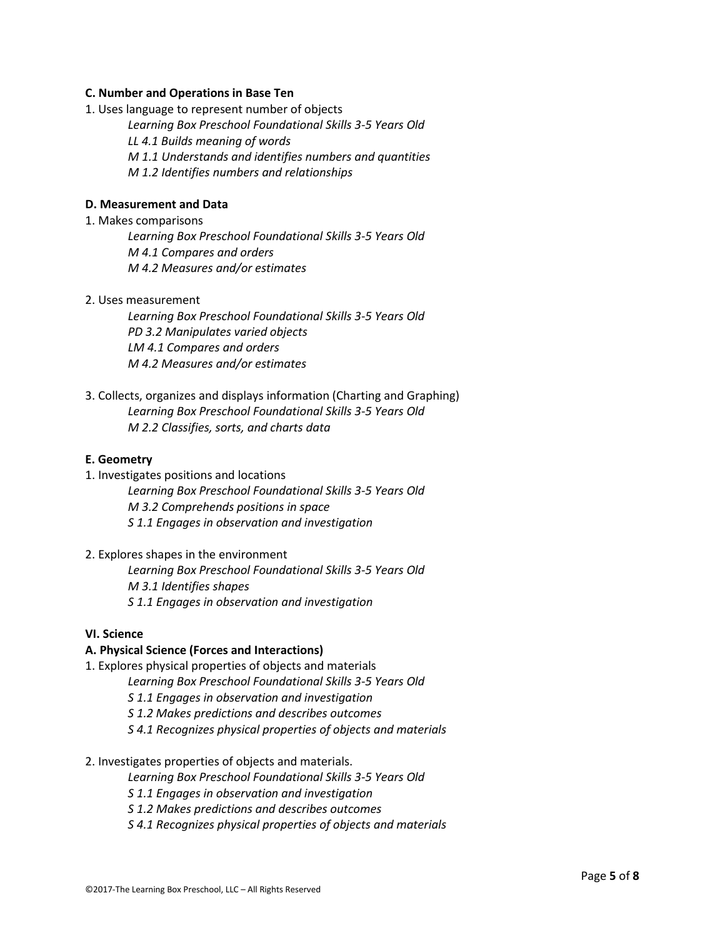## **C. Number and Operations in Base Ten**

1. Uses language to represent number of objects

*Learning Box Preschool Foundational Skills 3-5 Years Old LL 4.1 Builds meaning of words M 1.1 Understands and identifies numbers and quantities*

*M 1.2 Identifies numbers and relationships*

# **D. Measurement and Data**

#### 1. Makes comparisons

*Learning Box Preschool Foundational Skills 3-5 Years Old M 4.1 Compares and orders M 4.2 Measures and/or estimates*

# 2. Uses measurement

*Learning Box Preschool Foundational Skills 3-5 Years Old PD 3.2 Manipulates varied objects LM 4.1 Compares and orders M 4.2 Measures and/or estimates*

3. Collects, organizes and displays information (Charting and Graphing) *Learning Box Preschool Foundational Skills 3-5 Years Old M 2.2 Classifies, sorts, and charts data*

#### **E. Geometry**

- 1. Investigates positions and locations
	- *Learning Box Preschool Foundational Skills 3-5 Years Old M 3.2 Comprehends positions in space S 1.1 Engages in observation and investigation*
- 2. Explores shapes in the environment

*Learning Box Preschool Foundational Skills 3-5 Years Old M 3.1 Identifies shapes S 1.1 Engages in observation and investigation*

#### **VI. Science**

# **A. Physical Science (Forces and Interactions)**

- 1. Explores physical properties of objects and materials
	- *Learning Box Preschool Foundational Skills 3-5 Years Old*
	- *S 1.1 Engages in observation and investigation*
	- *S 1.2 Makes predictions and describes outcomes*
	- *S 4.1 Recognizes physical properties of objects and materials*
- 2. Investigates properties of objects and materials.
	- *Learning Box Preschool Foundational Skills 3-5 Years Old*
	- *S 1.1 Engages in observation and investigation*
	- *S 1.2 Makes predictions and describes outcomes*
	- *S 4.1 Recognizes physical properties of objects and materials*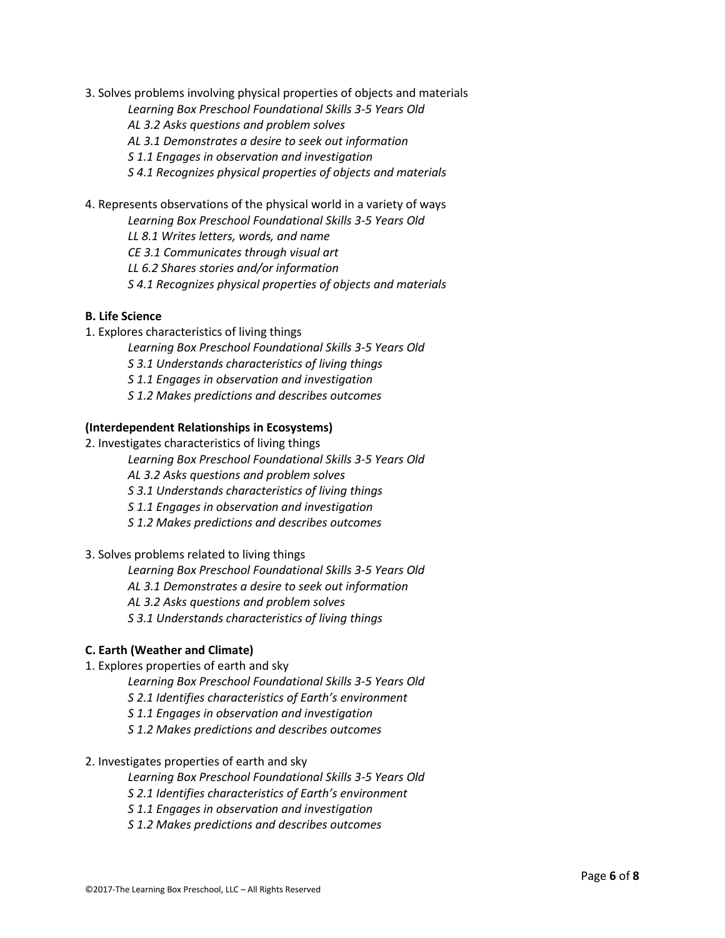- 3. Solves problems involving physical properties of objects and materials
	- *Learning Box Preschool Foundational Skills 3-5 Years Old*
	- *AL 3.2 Asks questions and problem solves*
	- *AL 3.1 Demonstrates a desire to seek out information*
	- *S 1.1 Engages in observation and investigation*
	- *S 4.1 Recognizes physical properties of objects and materials*
- 4. Represents observations of the physical world in a variety of ways
	- *Learning Box Preschool Foundational Skills 3-5 Years Old*
	- *LL 8.1 Writes letters, words, and name*
	- *CE 3.1 Communicates through visual art*
	- *LL 6.2 Shares stories and/or information*
	- *S 4.1 Recognizes physical properties of objects and materials*

# **B. Life Science**

- 1. Explores characteristics of living things
	- *Learning Box Preschool Foundational Skills 3-5 Years Old*
	- *S 3.1 Understands characteristics of living things*
	- *S 1.1 Engages in observation and investigation*
	- *S 1.2 Makes predictions and describes outcomes*

#### **(Interdependent Relationships in Ecosystems)**

- 2. Investigates characteristics of living things
	- *Learning Box Preschool Foundational Skills 3-5 Years Old*
	- *AL 3.2 Asks questions and problem solves*
	- *S 3.1 Understands characteristics of living things*
	- *S 1.1 Engages in observation and investigation*
	- *S 1.2 Makes predictions and describes outcomes*
- 3. Solves problems related to living things
	- *Learning Box Preschool Foundational Skills 3-5 Years Old*
	- *AL 3.1 Demonstrates a desire to seek out information*
	- *AL 3.2 Asks questions and problem solves*
	- *S 3.1 Understands characteristics of living things*

# **C. Earth (Weather and Climate)**

- 1. Explores properties of earth and sky
	- *Learning Box Preschool Foundational Skills 3-5 Years Old*
	- *S 2.1 Identifies characteristics of Earth's environment*
	- *S 1.1 Engages in observation and investigation*
	- *S 1.2 Makes predictions and describes outcomes*

#### 2. Investigates properties of earth and sky

- *Learning Box Preschool Foundational Skills 3-5 Years Old*
- *S 2.1 Identifies characteristics of Earth's environment*
- *S 1.1 Engages in observation and investigation*
- *S 1.2 Makes predictions and describes outcomes*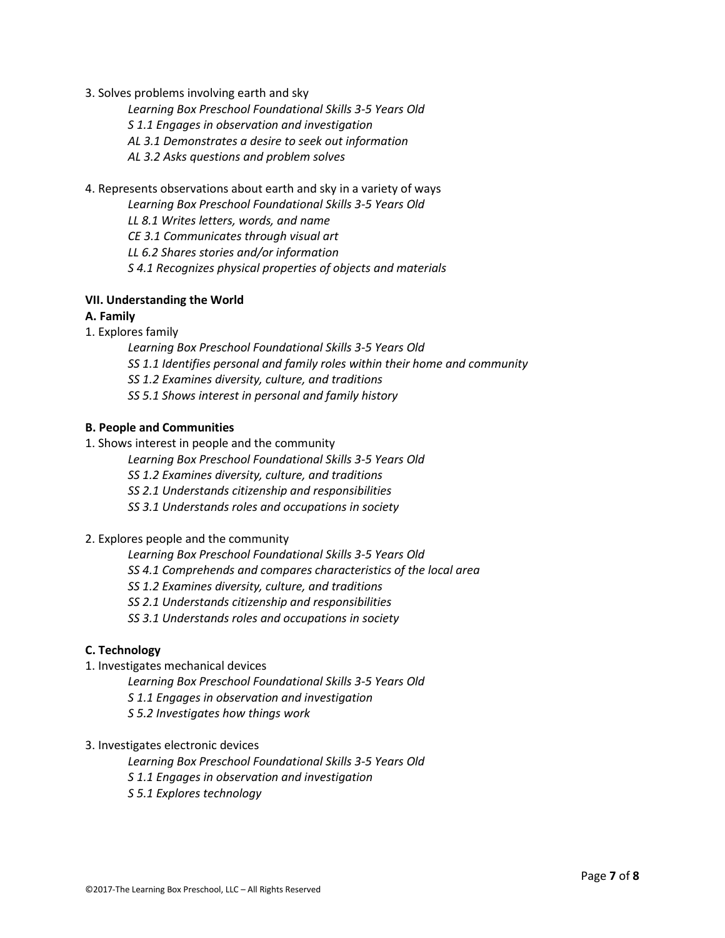3. Solves problems involving earth and sky

*Learning Box Preschool Foundational Skills 3-5 Years Old*

*S 1.1 Engages in observation and investigation*

*AL 3.1 Demonstrates a desire to seek out information*

*AL 3.2 Asks questions and problem solves*

4. Represents observations about earth and sky in a variety of ways

*Learning Box Preschool Foundational Skills 3-5 Years Old*

*LL 8.1 Writes letters, words, and name*

*CE 3.1 Communicates through visual art*

*LL 6.2 Shares stories and/or information*

*S 4.1 Recognizes physical properties of objects and materials*

# **VII. Understanding the World**

# **A. Family**

- 1. Explores family
	- *Learning Box Preschool Foundational Skills 3-5 Years Old*
	- *SS 1.1 Identifies personal and family roles within their home and community*
	- *SS 1.2 Examines diversity, culture, and traditions*
	- *SS 5.1 Shows interest in personal and family history*

# **B. People and Communities**

- 1. Shows interest in people and the community
	- *Learning Box Preschool Foundational Skills 3-5 Years Old*
	- *SS 1.2 Examines diversity, culture, and traditions*
	- *SS 2.1 Understands citizenship and responsibilities*
	- *SS 3.1 Understands roles and occupations in society*

#### 2. Explores people and the community

*Learning Box Preschool Foundational Skills 3-5 Years Old SS 4.1 Comprehends and compares characteristics of the local area*

- *SS 1.2 Examines diversity, culture, and traditions*
- *SS 2.1 Understands citizenship and responsibilities*
- *SS 3.1 Understands roles and occupations in society*

# **C. Technology**

- 1. Investigates mechanical devices
	- *Learning Box Preschool Foundational Skills 3-5 Years Old*
	- *S 1.1 Engages in observation and investigation*
	- *S 5.2 Investigates how things work*
- 3. Investigates electronic devices
	- *Learning Box Preschool Foundational Skills 3-5 Years Old*
	- *S 1.1 Engages in observation and investigation*
	- *S 5.1 Explores technology*